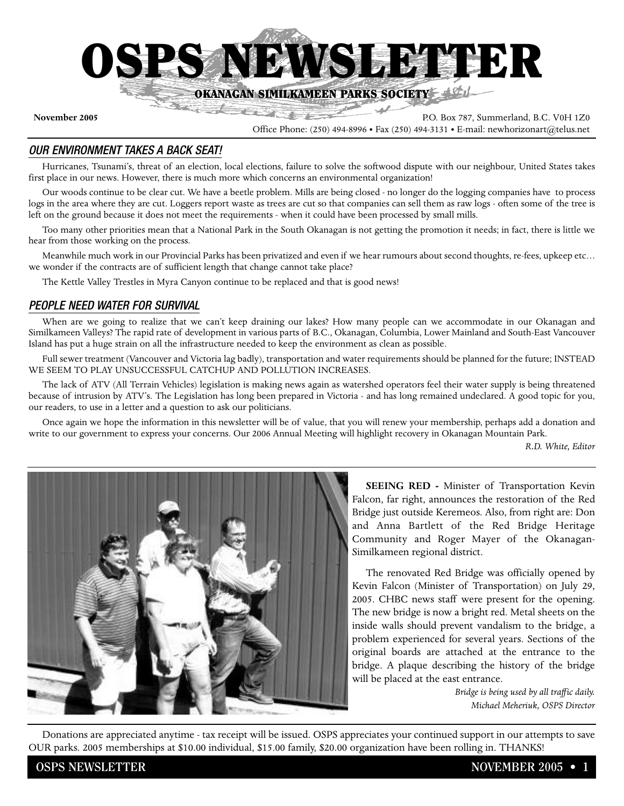

**November 2005** P.O. Box 787, Summerland, B.C. V0H 1Z0

#### Office Phone: (250) 494-8996 • Fax (250) 494-3131 • E-mail: newhorizonart@telus.net

#### *OUR ENVIRONMENT TAKES A BACK SEAT!*

Hurricanes, Tsunami's, threat of an election, local elections, failure to solve the softwood dispute with our neighbour, United States takes first place in our news. However, there is much more which concerns an environmental organization!

Our woods continue to be clear cut. We have a beetle problem. Mills are being closed - no longer do the logging companies have to process logs in the area where they are cut. Loggers report waste as trees are cut so that companies can sell them as raw logs - often some of the tree is left on the ground because it does not meet the requirements - when it could have been processed by small mills.

Too many other priorities mean that a National Park in the South Okanagan is not getting the promotion it needs; in fact, there is little we hear from those working on the process.

Meanwhile much work in our Provincial Parks has been privatized and even if we hear rumours about second thoughts, re-fees, upkeep etc… we wonder if the contracts are of sufficient length that change cannot take place?

The Kettle Valley Trestles in Myra Canyon continue to be replaced and that is good news!

#### *PEOPLE NEED WATER FOR SURVIVAL*

When are we going to realize that we can't keep draining our lakes? How many people can we accommodate in our Okanagan and Similkameen Valleys? The rapid rate of development in various parts of B.C., Okanagan, Columbia, Lower Mainland and South-East Vancouver Island has put a huge strain on all the infrastructure needed to keep the environment as clean as possible.

Full sewer treatment (Vancouver and Victoria lag badly), transportation and water requirements should be planned for the future; INSTEAD WE SEEM TO PLAY UNSUCCESSFUL CATCHUP AND POLLUTION INCREASES.

The lack of ATV (All Terrain Vehicles) legislation is making news again as watershed operators feel their water supply is being threatened because of intrusion by ATV's. The Legislation has long been prepared in Victoria - and has long remained undeclared. A good topic for you, our readers, to use in a letter and a question to ask our politicians.

Once again we hope the information in this newsletter will be of value, that you will renew your membership, perhaps add a donation and write to our government to express your concerns. Our 2006 Annual Meeting will highlight recovery in Okanagan Mountain Park.

*R.D. White, Editor*



**SEEING RED -** Minister of Transportation Kevin Falcon, far right, announces the restoration of the Red Bridge just outside Keremeos. Also, from right are: Don and Anna Bartlett of the Red Bridge Heritage Community and Roger Mayer of the Okanagan-Similkameen regional district.

The renovated Red Bridge was officially opened by Kevin Falcon (Minister of Transportation) on July 29, 2005. CHBC news staff were present for the opening. The new bridge is now a bright red. Metal sheets on the inside walls should prevent vandalism to the bridge, a problem experienced for several years. Sections of the original boards are attached at the entrance to the bridge. A plaque describing the history of the bridge will be placed at the east entrance.

> *Bridge is being used by all traffic daily. Michael Meheriuk, OSPS Director*

Donations are appreciated anytime - tax receipt will be issued. OSPS appreciates your continued support in our attempts to save OUR parks. 2005 memberships at \$10.00 individual, \$15.00 family, \$20.00 organization have been rolling in. THANKS!

**OSPS NEWSLETTER 1 NOVEMBER 2005 • 1**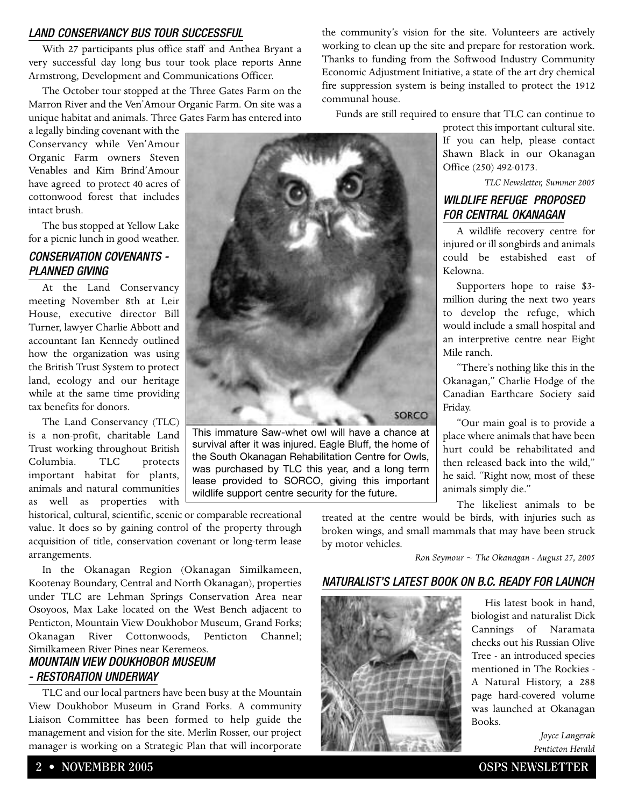#### *LAND CONSERVANCY BUS TOUR SUCCESSFUL*

With 27 participants plus office staff and Anthea Bryant a very successful day long bus tour took place reports Anne Armstrong, Development and Communications Officer.

The October tour stopped at the Three Gates Farm on the Marron River and the Ven'Amour Organic Farm. On site was a unique habitat and animals. Three Gates Farm has entered into

a legally binding covenant with the Conservancy while Ven'Amour Organic Farm owners Steven Venables and Kim Brind'Amour have agreed to protect 40 acres of cottonwood forest that includes intact brush.

The bus stopped at Yellow Lake for a picnic lunch in good weather.

#### *CONSERVATION COVENANTS - PLANNED GIVING*

At the Land Conservancy meeting November 8th at Leir House, executive director Bill Turner, lawyer Charlie Abbott and accountant Ian Kennedy outlined how the organization was using the British Trust System to protect land, ecology and our heritage while at the same time providing tax benefits for donors.

The Land Conservancy (TLC) is a non-profit, charitable Land Trust working throughout British Columbia. TLC protects important habitat for plants, animals and natural communities as well as properties with

historical, cultural, scientific, scenic or comparable recreational value. It does so by gaining control of the property through acquisition of title, conservation covenant or long-term lease arrangements. wildlife support centre security for the future.

In the Okanagan Region (Okanagan Similkameen, Kootenay Boundary, Central and North Okanagan), properties under TLC are Lehman Springs Conservation Area near Osoyoos, Max Lake located on the West Bench adjacent to Penticton, Mountain View Doukhobor Museum, Grand Forks; Okanagan River Cottonwoods, Penticton Channel; Similkameen River Pines near Keremeos.

### *MOUNTAIN VIEW DOUKHOBOR MUSEUM - RESTORATION UNDERWAY*

TLC and our local partners have been busy at the Mountain View Doukhobor Museum in Grand Forks. A community Liaison Committee has been formed to help guide the management and vision for the site. Merlin Rosser, our project manager is working on a Strategic Plan that will incorporate the community's vision for the site. Volunteers are actively working to clean up the site and prepare for restoration work. Thanks to funding from the Softwood Industry Community Economic Adjustment Initiative, a state of the art dry chemical fire suppression system is being installed to protect the 1912 communal house.

Funds are still required to ensure that TLC can continue to

protect this important cultural site. If you can help, please contact Shawn Black in our Okanagan Office (250) 492-0173.

*TLC Newsletter, Summer 2005*

### *WILDLIFE REFUGE PROPOSED FOR CENTRAL OKANAGAN*

A wildlife recovery centre for injured or ill songbirds and animals could be estabished east of Kelowna.

Supporters hope to raise \$3 million during the next two years to develop the refuge, which would include a small hospital and an interpretive centre near Eight Mile ranch.

"There's nothing like this in the Okanagan," Charlie Hodge of the Canadian Earthcare Society said Friday.

"Our main goal is to provide a place where animals that have been hurt could be rehabilitated and then released back into the wild," he said. "Right now, most of these animals simply die."

The likeliest animals to be

treated at the centre would be birds, with injuries such as broken wings, and small mammals that may have been struck by motor vehicles.

*Ron Seymour ~ The Okanagan - August 27, 2005*

#### *NATURALIST'S LATEST BOOK ON B.C. READY FOR LAUNCH*



His latest book in hand, biologist and naturalist Dick Cannings of Naramata checks out his Russian Olive Tree - an introduced species mentioned in The Rockies - A Natural History, a 288 page hard-covered volume was launched at Okanagan Books.

> *Joyce Langerak Penticton Herald*





survival after it was injured. Eagle Bluff, the home of the South Okanagan Rehabilitation Centre for Owls, was purchased by TLC this year, and a long term lease provided to SORCO, giving this important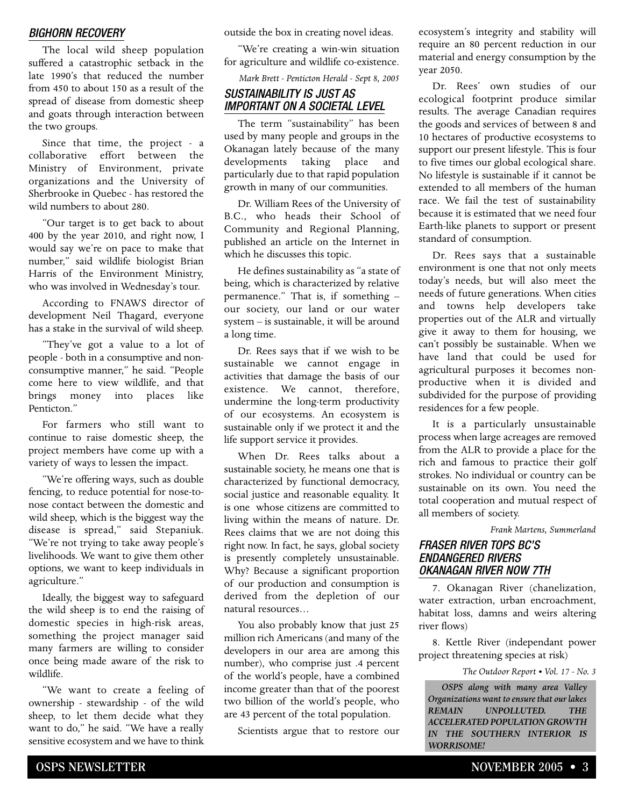#### *BIGHORN RECOVERY*

The local wild sheep population suffered a catastrophic setback in the late 1990's that reduced the number from 450 to about 150 as a result of the spread of disease from domestic sheep and goats through interaction between the two groups.

Since that time, the project - a collaborative effort between the Ministry of Environment, private organizations and the University of Sherbrooke in Quebec - has restored the wild numbers to about 280.

"Our target is to get back to about 400 by the year 2010, and right now, I would say we're on pace to make that number," said wildlife biologist Brian Harris of the Environment Ministry, who was involved in Wednesday's tour.

According to FNAWS director of development Neil Thagard, everyone has a stake in the survival of wild sheep.

"They've got a value to a lot of people - both in a consumptive and nonconsumptive manner," he said. "People come here to view wildlife, and that brings money into places like Penticton."

For farmers who still want to continue to raise domestic sheep, the project members have come up with a variety of ways to lessen the impact.

"We're offering ways, such as double fencing, to reduce potential for nose-tonose contact between the domestic and wild sheep, which is the biggest way the disease is spread," said Stepaniuk. "We're not trying to take away people's livelihoods. We want to give them other options, we want to keep individuals in agriculture."

Ideally, the biggest way to safeguard the wild sheep is to end the raising of domestic species in high-risk areas, something the project manager said many farmers are willing to consider once being made aware of the risk to wildlife.

"We want to create a feeling of ownership - stewardship - of the wild sheep, to let them decide what they want to do," he said. "We have a really sensitive ecosystem and we have to think outside the box in creating novel ideas.

"We're creating a win-win situation for agriculture and wildlife co-existence.

*Mark Brett - Penticton Herald - Sept 8, 2005*

#### *SUSTAINABILITY IS JUST AS IMPORTANT ON A SOCIETAL LEVEL*

The term "sustainability" has been used by many people and groups in the Okanagan lately because of the many developments taking place and particularly due to that rapid population growth in many of our communities.

Dr. William Rees of the University of B.C., who heads their School of Community and Regional Planning, published an article on the Internet in which he discusses this topic.

He defines sustainability as "a state of being, which is characterized by relative permanence." That is, if something – our society, our land or our water system – is sustainable, it will be around a long time.

Dr. Rees says that if we wish to be sustainable we cannot engage in activities that damage the basis of our existence. We cannot, therefore, undermine the long-term productivity of our ecosystems. An ecosystem is sustainable only if we protect it and the life support service it provides.

When Dr. Rees talks about a sustainable society, he means one that is characterized by functional democracy, social justice and reasonable equality. It is one whose citizens are committed to living within the means of nature. Dr. Rees claims that we are not doing this right now. In fact, he says, global society is presently completely unsustainable. Why? Because a significant proportion of our production and consumption is derived from the depletion of our natural resources…

You also probably know that just 25 million rich Americans (and many of the developers in our area are among this number), who comprise just .4 percent of the world's people, have a combined income greater than that of the poorest two billion of the world's people, who are 43 percent of the total population.

Scientists argue that to restore our

ecosystem's integrity and stability will require an 80 percent reduction in our material and energy consumption by the year 2050.

Dr. Rees' own studies of our ecological footprint produce similar results. The average Canadian requires the goods and services of between 8 and 10 hectares of productive ecosystems to support our present lifestyle. This is four to five times our global ecological share. No lifestyle is sustainable if it cannot be extended to all members of the human race. We fail the test of sustainability because it is estimated that we need four Earth-like planets to support or present standard of consumption.

Dr. Rees says that a sustainable environment is one that not only meets today's needs, but will also meet the needs of future generations. When cities and towns help developers take properties out of the ALR and virtually give it away to them for housing, we can't possibly be sustainable. When we have land that could be used for agricultural purposes it becomes nonproductive when it is divided and subdivided for the purpose of providing residences for a few people.

It is a particularly unsustainable process when large acreages are removed from the ALR to provide a place for the rich and famous to practice their golf strokes. No individual or country can be sustainable on its own. You need the total cooperation and mutual respect of all members of society.

*Frank Martens, Summerland*

#### *FRASER RIVER TOPS BC'S ENDANGERED RIVERS OKANAGAN RIVER NOW 7TH*

7. Okanagan River (chanelization, water extraction, urban encroachment, habitat loss, damns and weirs altering river flows)

8. Kettle River (independant power project threatening species at risk)

*The Outdoor Report • Vol. 17 - No. 3*

*OSPS along with many area Valley Organizations want to ensure that our lakes REMAIN UNPOLLUTED. THE ACCELERATED POPULATION GROWTH IN THE SOUTHERN INTERIOR IS WORRISOME!*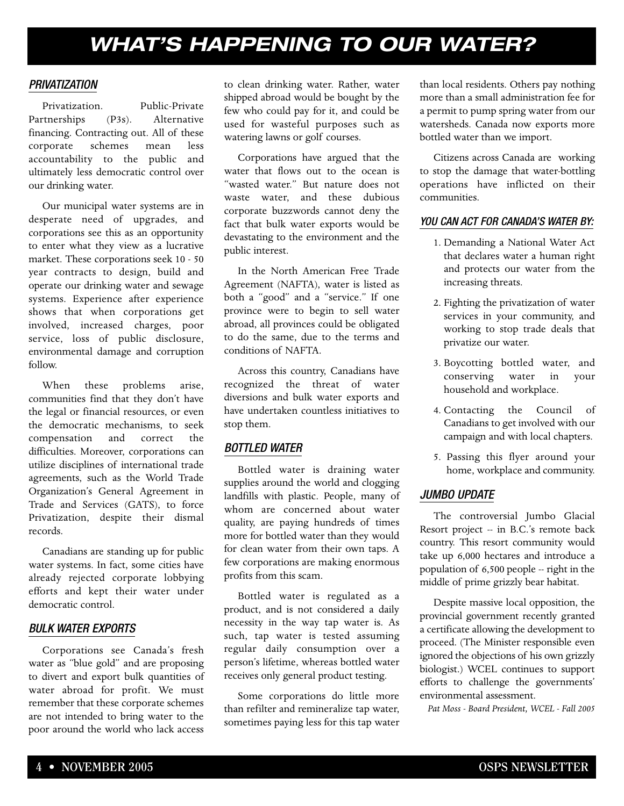# *WHAT'S HAPPENING TO OUR WATER?*

#### *PRIVATIZATION*

Privatization. Public-Private Partnerships (P3s). Alternative financing. Contracting out. All of these corporate schemes mean less accountability to the public and ultimately less democratic control over our drinking water.

Our municipal water systems are in desperate need of upgrades, and corporations see this as an opportunity to enter what they view as a lucrative market. These corporations seek 10 - 50 year contracts to design, build and operate our drinking water and sewage systems. Experience after experience shows that when corporations get involved, increased charges, poor service, loss of public disclosure, environmental damage and corruption follow.

When these problems arise, communities find that they don't have the legal or financial resources, or even the democratic mechanisms, to seek compensation and correct the difficulties. Moreover, corporations can utilize disciplines of international trade agreements, such as the World Trade Organization's General Agreement in Trade and Services (GATS), to force Privatization, despite their dismal records.

Canadians are standing up for public water systems. In fact, some cities have already rejected corporate lobbying efforts and kept their water under democratic control.

#### *BULK WATER EXPORTS*

Corporations see Canada's fresh water as "blue gold" and are proposing to divert and export bulk quantities of water abroad for profit. We must remember that these corporate schemes are not intended to bring water to the poor around the world who lack access to clean drinking water. Rather, water shipped abroad would be bought by the few who could pay for it, and could be used for wasteful purposes such as watering lawns or golf courses.

Corporations have argued that the water that flows out to the ocean is "wasted water." But nature does not waste water, and these dubious corporate buzzwords cannot deny the fact that bulk water exports would be devastating to the environment and the public interest.

In the North American Free Trade Agreement (NAFTA), water is listed as both a "good" and a "service." If one province were to begin to sell water abroad, all provinces could be obligated to do the same, due to the terms and conditions of NAFTA.

Across this country, Canadians have recognized the threat of water diversions and bulk water exports and have undertaken countless initiatives to stop them.

#### *BOTTLED WATER*

Bottled water is draining water supplies around the world and clogging landfills with plastic. People, many of whom are concerned about water quality, are paying hundreds of times more for bottled water than they would for clean water from their own taps. A few corporations are making enormous profits from this scam.

Bottled water is regulated as a product, and is not considered a daily necessity in the way tap water is. As such, tap water is tested assuming regular daily consumption over a person's lifetime, whereas bottled water receives only general product testing.

Some corporations do little more than refilter and remineralize tap water, sometimes paying less for this tap water than local residents. Others pay nothing more than a small administration fee for a permit to pump spring water from our watersheds. Canada now exports more bottled water than we import.

Citizens across Canada are working to stop the damage that water-bottling operations have inflicted on their communities.

#### *YOU CAN ACT FOR CANADA'S WATER BY:*

- 1. Demanding a National Water Act that declares water a human right and protects our water from the increasing threats.
- 2. Fighting the privatization of water services in your community, and working to stop trade deals that privatize our water.
- 3. Boycotting bottled water, and conserving water in your household and workplace.
- 4. Contacting the Council of Canadians to get involved with our campaign and with local chapters.
- 5. Passing this flyer around your home, workplace and community.

#### *JUMBO UPDATE*

The controversial Jumbo Glacial Resort project -- in B.C.'s remote back country. This resort community would take up 6,000 hectares and introduce a population of 6,500 people -- right in the middle of prime grizzly bear habitat.

Despite massive local opposition, the provincial government recently granted a certificate allowing the development to proceed. (The Minister responsible even ignored the objections of his own grizzly biologist.) WCEL continues to support efforts to challenge the governments' environmental assessment.

*Pat Moss - Board President, WCEL - Fall 2005*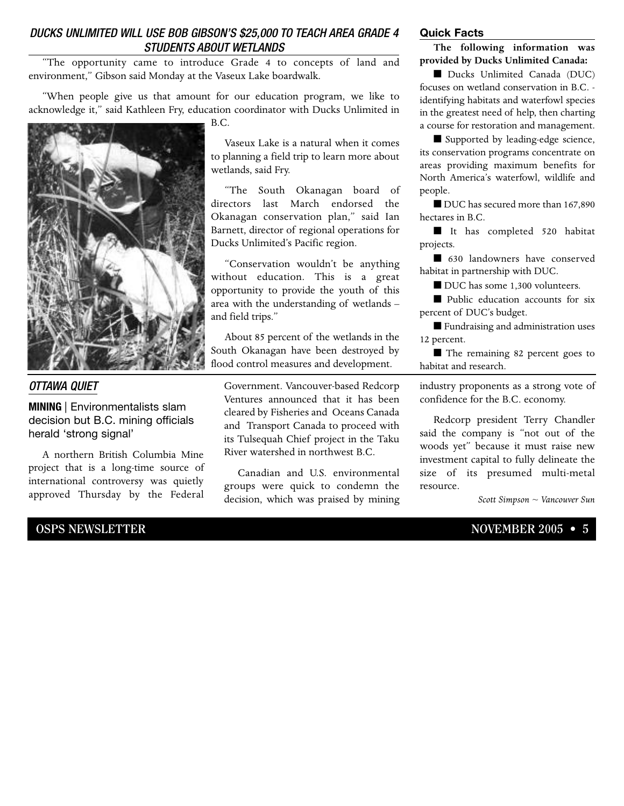#### *DUCKS UNLIMITED WILL USE BOB GIBSON'S \$25,000 TO TEACH AREA GRADE 4 STUDENTS ABOUT WETLANDS*

"The opportunity came to introduce Grade 4 to concepts of land and environment," Gibson said Monday at the Vaseux Lake boardwalk.

"When people give us that amount for our education program, we like to acknowledge it," said Kathleen Fry, education coordinator with Ducks Unlimited in



#### *OTTAWA QUIET*

**MINING** | Environmentalists slam decision but B.C. mining officials herald 'strong signal'

A northern British Columbia Mine project that is a long-time source of international controversy was quietly approved Thursday by the Federal

Vaseux Lake is a natural when it comes to planning a field trip to learn more about wetlands, said Fry.

"The South Okanagan board of directors last March endorsed the Okanagan conservation plan," said Ian Barnett, director of regional operations for Ducks Unlimited's Pacific region.

"Conservation wouldn't be anything without education. This is a great opportunity to provide the youth of this area with the understanding of wetlands – and field trips."

About 85 percent of the wetlands in the South Okanagan have been destroyed by flood control measures and development.

Government. Vancouver-based Redcorp Ventures announced that it has been cleared by Fisheries and Oceans Canada and Transport Canada to proceed with its Tulsequah Chief project in the Taku River watershed in northwest B.C.

Canadian and U.S. environmental groups were quick to condemn the decision, which was praised by mining

#### **Quick Facts**

**The following information was provided by Ducks Unlimited Canada:**

■ Ducks Unlimited Canada (DUC) focuses on wetland conservation in B.C. identifying habitats and waterfowl species in the greatest need of help, then charting a course for restoration and management.

■ Supported by leading-edge science, its conservation programs concentrate on areas providing maximum benefits for North America's waterfowl, wildlife and people.

■ DUC has secured more than 167,890 hectares in B.C.

■ It has completed 520 habitat projects.

■ 630 landowners have conserved habitat in partnership with DUC.

■ DUC has some 1,300 volunteers.

■ Public education accounts for six percent of DUC's budget.

■ Fundraising and administration uses 12 percent.

■ The remaining 82 percent goes to habitat and research.

industry proponents as a strong vote of confidence for the B.C. economy.

Redcorp president Terry Chandler said the company is "not out of the woods yet" because it must raise new investment capital to fully delineate the size of its presumed multi-metal resource.

*Scott Simpson ~ Vancouver Sun*

#### **OSPS NEWSLETTER** NOVEMBER 2005 • 5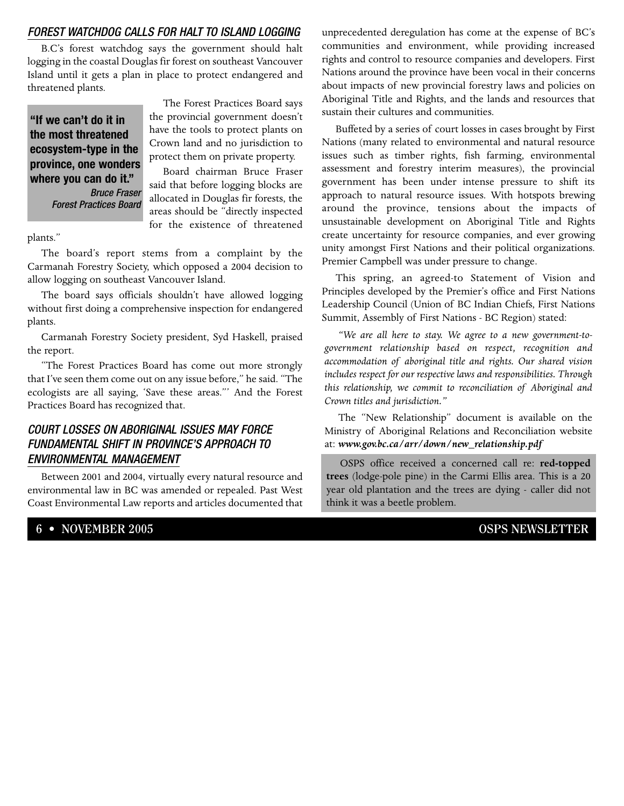#### *FOREST WATCHDOG CALLS FOR HALT TO ISLAND LOGGING*

B.C's forest watchdog says the government should halt logging in the coastal Douglas fir forest on southeast Vancouver Island until it gets a plan in place to protect endangered and threatened plants.

**"If we can't do it in the most threatened ecosystem-type in the province, one wonders where you can do it."** *Bruce Fraser Forest Practices Board*

The Forest Practices Board says the provincial government doesn't have the tools to protect plants on Crown land and no jurisdiction to protect them on private property.

Board chairman Bruce Fraser said that before logging blocks are allocated in Douglas fir forests, the areas should be "directly inspected for the existence of threatened

plants."

The board's report stems from a complaint by the Carmanah Forestry Society, which opposed a 2004 decision to allow logging on southeast Vancouver Island.

The board says officials shouldn't have allowed logging without first doing a comprehensive inspection for endangered plants.

Carmanah Forestry Society president, Syd Haskell, praised the report.

"The Forest Practices Board has come out more strongly that I've seen them come out on any issue before," he said. "The ecologists are all saying, 'Save these areas."' And the Forest Practices Board has recognized that.

#### *COURT LOSSES ON ABORIGINAL ISSUES MAY FORCE FUNDAMENTAL SHIFT IN PROVINCE'S APPROACH TO ENVIRONMENTAL MANAGEMENT*

Between 2001 and 2004, virtually every natural resource and environmental law in BC was amended or repealed. Past West Coast Environmental Law reports and articles documented that

**6 • NOVEMBER 2005 OSPS NEWSLETTER**

unprecedented deregulation has come at the expense of BC's communities and environment, while providing increased rights and control to resource companies and developers. First Nations around the province have been vocal in their concerns about impacts of new provincial forestry laws and policies on Aboriginal Title and Rights, and the lands and resources that sustain their cultures and communities.

Buffeted by a series of court losses in cases brought by First Nations (many related to environmental and natural resource issues such as timber rights, fish farming, environmental assessment and forestry interim measures), the provincial government has been under intense pressure to shift its approach to natural resource issues. With hotspots brewing around the province, tensions about the impacts of unsustainable development on Aboriginal Title and Rights create uncertainty for resource companies, and ever growing unity amongst First Nations and their political organizations. Premier Campbell was under pressure to change.

This spring, an agreed-to Statement of Vision and Principles developed by the Premier's office and First Nations Leadership Council (Union of BC Indian Chiefs, First Nations Summit, Assembly of First Nations - BC Region) stated:

*"We are all here to stay. We agree to a new government-togovernment relationship based on respect, recognition and accommodation of aboriginal title and rights. Our shared vision includes respect for our respective laws and responsibilities. Through this relationship, we commit to reconciliation of Aboriginal and Crown titles and jurisdiction."*

The "New Relationship" document is available on the Ministry of Aboriginal Relations and Reconciliation website at: *www.gov.bc.ca/arr/down/new\_relationship.pdf*

OSPS office received a concerned call re: **red-topped trees** (lodge-pole pine) in the Carmi Ellis area. This is a 20 year old plantation and the trees are dying - caller did not think it was a beetle problem.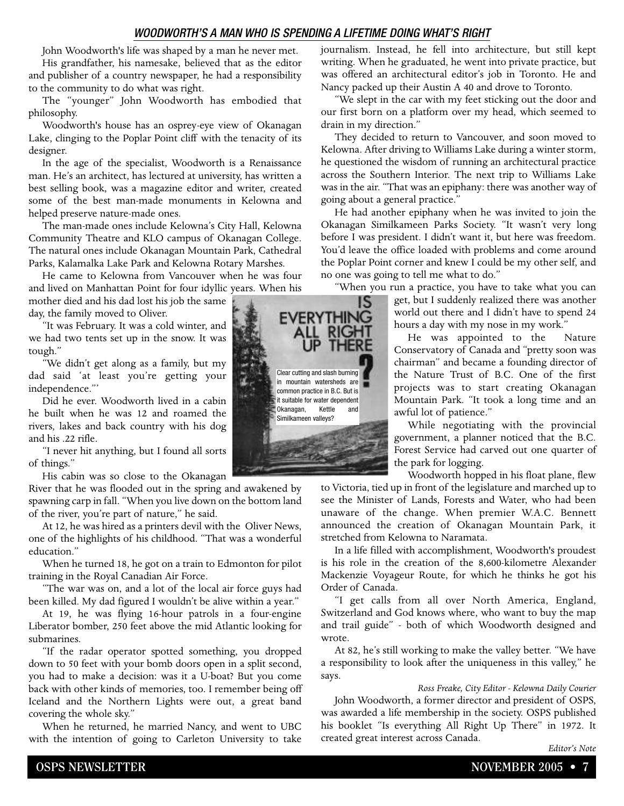#### *WOODWORTH'S A MAN WHO IS SPENDING A LIFETIME DOING WHAT'S RIGHT*

John Woodworth's life was shaped by a man he never met. His grandfather, his namesake, believed that as the editor and publisher of a country newspaper, he had a responsibility to the community to do what was right.

The "younger" John Woodworth has embodied that philosophy.

Woodworth's house has an osprey-eye view of Okanagan Lake, clinging to the Poplar Point cliff with the tenacity of its designer.

In the age of the specialist, Woodworth is a Renaissance man. He's an architect, has lectured at university, has written a best selling book, was a magazine editor and writer, created some of the best man-made monuments in Kelowna and helped preserve nature-made ones.

The man-made ones include Kelowna's City Hall, Kelowna Community Theatre and KLO campus of Okanagan College. The natural ones include Okanagan Mountain Park, Cathedral Parks, Kalamalka Lake Park and Kelowna Rotary Marshes.

He came to Kelowna from Vancouver when he was four and lived on Manhattan Point for four idyllic years. When his

mother died and his dad lost his job the same day, the family moved to Oliver.

"It was February. It was a cold winter, and we had two tents set up in the snow. It was tough."

"We didn't get along as a family, but my dad said 'at least you're getting your independence."'

Did he ever. Woodworth lived in a cabin he built when he was 12 and roamed the rivers, lakes and back country with his dog and his .22 rifle.

"I never hit anything, but I found all sorts of things."

His cabin was so close to the Okanagan

River that he was flooded out in the spring and awakened by spawning carp in fall. "When you live down on the bottom land of the river, you're part of nature," he said.

At 12, he was hired as a printers devil with the Oliver News, one of the highlights of his childhood. "That was a wonderful education."

When he turned 18, he got on a train to Edmonton for pilot training in the Royal Canadian Air Force.

"The war was on, and a lot of the local air force guys had been killed. My dad figured I wouldn't be alive within a year."

At 19, he was flying 16-hour patrols in a four-engine Liberator bomber, 250 feet above the mid Atlantic looking for submarines.

"If the radar operator spotted something, you dropped down to 50 feet with your bomb doors open in a split second, you had to make a decision: was it a U-boat? But you come back with other kinds of memories, too. I remember being off Iceland and the Northern Lights were out, a great band covering the whole sky."

When he returned, he married Nancy, and went to UBC with the intention of going to Carleton University to take journalism. Instead, he fell into architecture, but still kept writing. When he graduated, he went into private practice, but was offered an architectural editor's job in Toronto. He and Nancy packed up their Austin A 40 and drove to Toronto.

"We slept in the car with my feet sticking out the door and our first born on a platform over my head, which seemed to drain in my direction."

They decided to return to Vancouver, and soon moved to Kelowna. After driving to Williams Lake during a winter storm, he questioned the wisdom of running an architectural practice across the Southern Interior. The next trip to Williams Lake was in the air. "That was an epiphany: there was another way of going about a general practice."

He had another epiphany when he was invited to join the Okanagan Similkameen Parks Society. "It wasn't very long before I was president. I didn't want it, but here was freedom. You'd leave the office loaded with problems and come around the Poplar Point corner and knew I could be my other self, and no one was going to tell me what to do."

"When you run a practice, you have to take what you can

get, but I suddenly realized there was another world out there and I didn't have to spend 24 hours a day with my nose in my work."

He was appointed to the Nature Conservatory of Canada and "pretty soon was chairman" and became a founding director of the Nature Trust of B.C. One of the first projects was to start creating Okanagan Mountain Park. "It took a long time and an awful lot of patience."

While negotiating with the provincial government, a planner noticed that the B.C. Forest Service had carved out one quarter of the park for logging.

Woodworth hopped in his float plane, flew

to Victoria, tied up in front of the legislature and marched up to see the Minister of Lands, Forests and Water, who had been unaware of the change. When premier W.A.C. Bennett announced the creation of Okanagan Mountain Park, it stretched from Kelowna to Naramata.

In a life filled with accomplishment, Woodworth's proudest is his role in the creation of the 8,600-kilometre Alexander Mackenzie Voyageur Route, for which he thinks he got his Order of Canada.

"I get calls from all over North America, England, Switzerland and God knows where, who want to buy the map and trail guide" - both of which Woodworth designed and wrote.

At 82, he's still working to make the valley better. "We have a responsibility to look after the uniqueness in this valley," he says.

*Ross Freake, City Editor - Kelowna Daily Courier*

John Woodworth, a former director and president of OSPS, was awarded a life membership in the society. OSPS published his booklet "Is everything All Right Up There" in 1972. It created great interest across Canada.

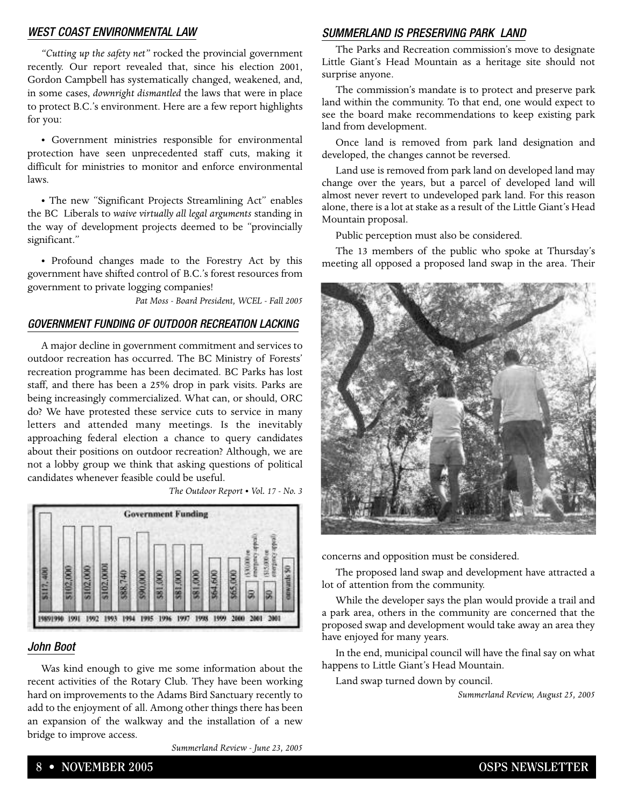#### *WEST COAST ENVIRONMENTAL LAW*

*"Cutting up the safety net"* rocked the provincial government recently. Our report revealed that, since his election 2001, Gordon Campbell has systematically changed, weakened, and, in some cases, *downright dismantled* the laws that were in place to protect B.C.'s environment. Here are a few report highlights for you:

• Government ministries responsible for environmental protection have seen unprecedented staff cuts, making it difficult for ministries to monitor and enforce environmental laws.

• The new "Significant Projects Streamlining Act" enables the BC Liberals to *waive virtually all legal arguments* standing in the way of development projects deemed to be "provincially significant."

• Profound changes made to the Forestry Act by this government have shifted control of B.C.'s forest resources from government to private logging companies!

*Pat Moss - Board President, WCEL - Fall 2005*

#### *GOVERNMENT FUNDING OF OUTDOOR RECREATION LACKING*

A major decline in government commitment and services to outdoor recreation has occurred. The BC Ministry of Forests' recreation programme has been decimated. BC Parks has lost staff, and there has been a 25% drop in park visits. Parks are being increasingly commercialized. What can, or should, ORC do? We have protested these service cuts to service in many letters and attended many meetings. Is the inevitably approaching federal election a chance to query candidates about their positions on outdoor recreation? Although, we are not a lobby group we think that asking questions of political candidates whenever feasible could be useful.

*The Outdoor Report • Vol. 17 - No. 3*



#### *John Boot*

Was kind enough to give me some information about the recent activities of the Rotary Club. They have been working hard on improvements to the Adams Bird Sanctuary recently to add to the enjoyment of all. Among other things there has been an expansion of the walkway and the installation of a new bridge to improve access.

*Summerland Review - June 23, 2005*

#### *SUMMERLAND IS PRESERVING PARK LAND*

The Parks and Recreation commission's move to designate Little Giant's Head Mountain as a heritage site should not surprise anyone.

The commission's mandate is to protect and preserve park land within the community. To that end, one would expect to see the board make recommendations to keep existing park land from development.

Once land is removed from park land designation and developed, the changes cannot be reversed.

Land use is removed from park land on developed land may change over the years, but a parcel of developed land will almost never revert to undeveloped park land. For this reason alone, there is a lot at stake as a result of the Little Giant's Head Mountain proposal.

Public perception must also be considered.

The 13 members of the public who spoke at Thursday's meeting all opposed a proposed land swap in the area. Their



concerns and opposition must be considered.

The proposed land swap and development have attracted a lot of attention from the community.

While the developer says the plan would provide a trail and a park area, others in the community are concerned that the proposed swap and development would take away an area they have enjoyed for many years.

In the end, municipal council will have the final say on what happens to Little Giant's Head Mountain.

Land swap turned down by council.

*Summerland Review, August 25, 2005*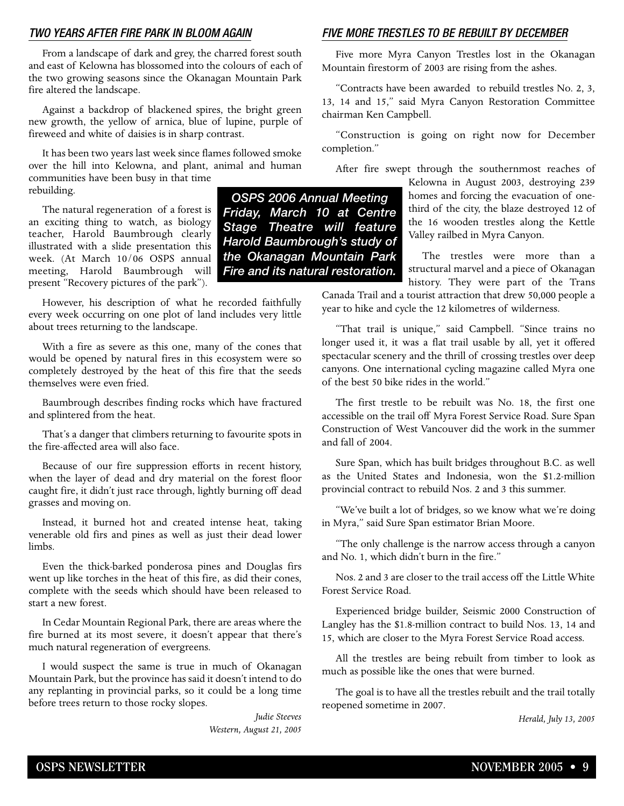#### *TWO YEARS AFTER FIRE PARK IN BLOOM AGAIN*

From a landscape of dark and grey, the charred forest south and east of Kelowna has blossomed into the colours of each of the two growing seasons since the Okanagan Mountain Park fire altered the landscape.

Against a backdrop of blackened spires, the bright green new growth, the yellow of arnica, blue of lupine, purple of fireweed and white of daisies is in sharp contrast.

It has been two years last week since flames followed smoke over the hill into Kelowna, and plant, animal and human communities have been busy in that time rebuilding. *OSPS 2006 Annual Meeting*

The natural regeneration of a forest is an exciting thing to watch, as biology teacher, Harold Baumbrough clearly illustrated with a slide presentation this week. (At March 10/06 OSPS annual meeting, Harold Baumbrough will present "Recovery pictures of the park").

However, his description of what he recorded faithfully every week occurring on one plot of land includes very little about trees returning to the landscape.

With a fire as severe as this one, many of the cones that would be opened by natural fires in this ecosystem were so completely destroyed by the heat of this fire that the seeds themselves were even fried.

Baumbrough describes finding rocks which have fractured and splintered from the heat.

That's a danger that climbers returning to favourite spots in the fire-affected area will also face.

Because of our fire suppression efforts in recent history, when the layer of dead and dry material on the forest floor caught fire, it didn't just race through, lightly burning off dead grasses and moving on.

Instead, it burned hot and created intense heat, taking venerable old firs and pines as well as just their dead lower limbs.

Even the thick-barked ponderosa pines and Douglas firs went up like torches in the heat of this fire, as did their cones, complete with the seeds which should have been released to start a new forest.

In Cedar Mountain Regional Park, there are areas where the fire burned at its most severe, it doesn't appear that there's much natural regeneration of evergreens.

I would suspect the same is true in much of Okanagan Mountain Park, but the province has said it doesn't intend to do any replanting in provincial parks, so it could be a long time before trees return to those rocky slopes.

> *Judie Steeves Western, August 21, 2005*

*Friday, March 10 at Centre Stage Theatre will feature Harold Baumbrough's study of the Okanagan Mountain Park Fire and its natural restoration.*

#### *FIVE MORE TRESTLES TO BE REBUILT BY DECEMBER*

Five more Myra Canyon Trestles lost in the Okanagan Mountain firestorm of 2003 are rising from the ashes.

"Contracts have been awarded to rebuild trestles No. 2, 3, 13, 14 and 15," said Myra Canyon Restoration Committee chairman Ken Campbell.

"Construction is going on right now for December completion."

After fire swept through the southernmost reaches of

Kelowna in August 2003, destroying 239 homes and forcing the evacuation of onethird of the city, the blaze destroyed 12 of the 16 wooden trestles along the Kettle Valley railbed in Myra Canyon.

The trestles were more than a structural marvel and a piece of Okanagan history. They were part of the Trans

Canada Trail and a tourist attraction that drew 50,000 people a year to hike and cycle the 12 kilometres of wilderness.

"That trail is unique," said Campbell. "Since trains no longer used it, it was a flat trail usable by all, yet it offered spectacular scenery and the thrill of crossing trestles over deep canyons. One international cycling magazine called Myra one of the best 50 bike rides in the world."

The first trestle to be rebuilt was No. 18, the first one accessible on the trail off Myra Forest Service Road. Sure Span Construction of West Vancouver did the work in the summer and fall of 2004.

Sure Span, which has built bridges throughout B.C. as well as the United States and Indonesia, won the \$1.2-million provincial contract to rebuild Nos. 2 and 3 this summer.

"We've built a lot of bridges, so we know what we're doing in Myra," said Sure Span estimator Brian Moore.

"The only challenge is the narrow access through a canyon and No. 1, which didn't burn in the fire."

Nos. 2 and 3 are closer to the trail access off the Little White Forest Service Road.

Experienced bridge builder, Seismic 2000 Construction of Langley has the \$1.8-million contract to build Nos. 13, 14 and 15, which are closer to the Myra Forest Service Road access.

All the trestles are being rebuilt from timber to look as much as possible like the ones that were burned.

The goal is to have all the trestles rebuilt and the trail totally reopened sometime in 2007.

*Herald, July 13, 2005*